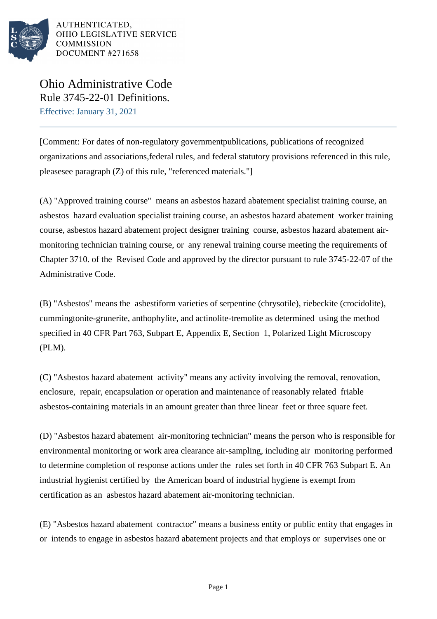

Ohio Administrative Code Rule 3745-22-01 Definitions. Effective: January 31, 2021

[Comment: For dates of non-regulatory governmentpublications, publications of recognized organizations and associations,federal rules, and federal statutory provisions referenced in this rule, pleasesee paragraph (Z) of this rule, "referenced materials."]

(A) "Approved training course" means an asbestos hazard abatement specialist training course, an asbestos hazard evaluation specialist training course, an asbestos hazard abatement worker training course, asbestos hazard abatement project designer training course, asbestos hazard abatement airmonitoring technician training course, or any renewal training course meeting the requirements of Chapter 3710. of the Revised Code and approved by the director pursuant to rule 3745-22-07 of the Administrative Code.

(B) "Asbestos" means the asbestiform varieties of serpentine (chrysotile), riebeckite (crocidolite), cummingtonite-grunerite, anthophylite, and actinolite-tremolite as determined using the method specified in 40 CFR Part 763, Subpart E, Appendix E, Section 1, Polarized Light Microscopy (PLM).

(C) "Asbestos hazard abatement activity" means any activity involving the removal, renovation, enclosure, repair, encapsulation or operation and maintenance of reasonably related friable asbestos-containing materials in an amount greater than three linear feet or three square feet.

(D) "Asbestos hazard abatement air-monitoring technician" means the person who is responsible for environmental monitoring or work area clearance air-sampling, including air monitoring performed to determine completion of response actions under the rules set forth in 40 CFR 763 Subpart E. An industrial hygienist certified by the American board of industrial hygiene is exempt from certification as an asbestos hazard abatement air-monitoring technician.

(E) "Asbestos hazard abatement contractor" means a business entity or public entity that engages in or intends to engage in asbestos hazard abatement projects and that employs or supervises one or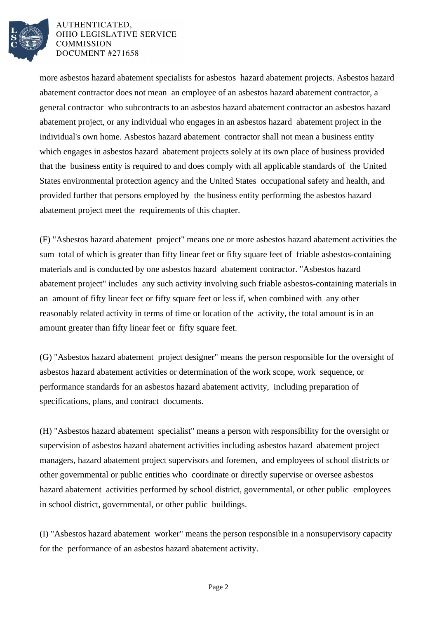

more asbestos hazard abatement specialists for asbestos hazard abatement projects. Asbestos hazard abatement contractor does not mean an employee of an asbestos hazard abatement contractor, a general contractor who subcontracts to an asbestos hazard abatement contractor an asbestos hazard abatement project, or any individual who engages in an asbestos hazard abatement project in the individual's own home. Asbestos hazard abatement contractor shall not mean a business entity which engages in asbestos hazard abatement projects solely at its own place of business provided that the business entity is required to and does comply with all applicable standards of the United States environmental protection agency and the United States occupational safety and health, and provided further that persons employed by the business entity performing the asbestos hazard abatement project meet the requirements of this chapter.

(F) "Asbestos hazard abatement project" means one or more asbestos hazard abatement activities the sum total of which is greater than fifty linear feet or fifty square feet of friable asbestos-containing materials and is conducted by one asbestos hazard abatement contractor. "Asbestos hazard abatement project" includes any such activity involving such friable asbestos-containing materials in an amount of fifty linear feet or fifty square feet or less if, when combined with any other reasonably related activity in terms of time or location of the activity, the total amount is in an amount greater than fifty linear feet or fifty square feet.

(G) "Asbestos hazard abatement project designer" means the person responsible for the oversight of asbestos hazard abatement activities or determination of the work scope, work sequence, or performance standards for an asbestos hazard abatement activity, including preparation of specifications, plans, and contract documents.

(H) "Asbestos hazard abatement specialist" means a person with responsibility for the oversight or supervision of asbestos hazard abatement activities including asbestos hazard abatement project managers, hazard abatement project supervisors and foremen, and employees of school districts or other governmental or public entities who coordinate or directly supervise or oversee asbestos hazard abatement activities performed by school district, governmental, or other public employees in school district, governmental, or other public buildings.

(I) "Asbestos hazard abatement worker" means the person responsible in a nonsupervisory capacity for the performance of an asbestos hazard abatement activity.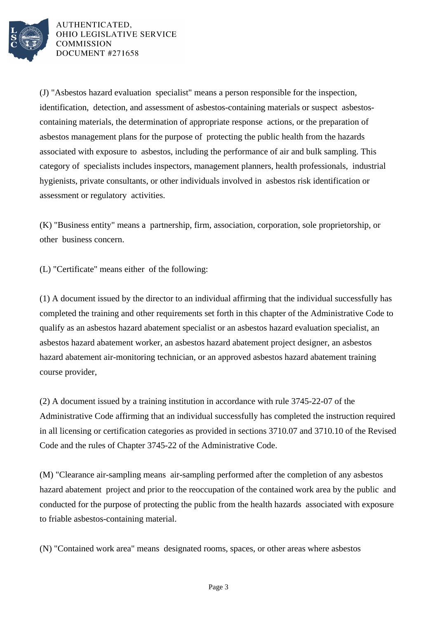

(J) "Asbestos hazard evaluation specialist" means a person responsible for the inspection, identification, detection, and assessment of asbestos-containing materials or suspect asbestoscontaining materials, the determination of appropriate response actions, or the preparation of asbestos management plans for the purpose of protecting the public health from the hazards associated with exposure to asbestos, including the performance of air and bulk sampling. This category of specialists includes inspectors, management planners, health professionals, industrial hygienists, private consultants, or other individuals involved in asbestos risk identification or assessment or regulatory activities.

(K) "Business entity" means a partnership, firm, association, corporation, sole proprietorship, or other business concern.

(L) "Certificate" means either of the following:

(1) A document issued by the director to an individual affirming that the individual successfully has completed the training and other requirements set forth in this chapter of the Administrative Code to qualify as an asbestos hazard abatement specialist or an asbestos hazard evaluation specialist, an asbestos hazard abatement worker, an asbestos hazard abatement project designer, an asbestos hazard abatement air-monitoring technician, or an approved asbestos hazard abatement training course provider,

(2) A document issued by a training institution in accordance with rule 3745-22-07 of the Administrative Code affirming that an individual successfully has completed the instruction required in all licensing or certification categories as provided in sections 3710.07 and 3710.10 of the Revised Code and the rules of Chapter 3745-22 of the Administrative Code.

(M) "Clearance air-sampling means air-sampling performed after the completion of any asbestos hazard abatement project and prior to the reoccupation of the contained work area by the public and conducted for the purpose of protecting the public from the health hazards associated with exposure to friable asbestos-containing material.

(N) "Contained work area" means designated rooms, spaces, or other areas where asbestos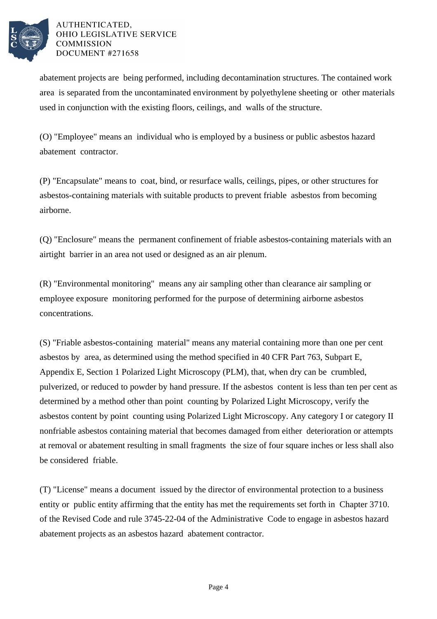

abatement projects are being performed, including decontamination structures. The contained work area is separated from the uncontaminated environment by polyethylene sheeting or other materials used in conjunction with the existing floors, ceilings, and walls of the structure.

(O) "Employee" means an individual who is employed by a business or public asbestos hazard abatement contractor.

(P) "Encapsulate" means to coat, bind, or resurface walls, ceilings, pipes, or other structures for asbestos-containing materials with suitable products to prevent friable asbestos from becoming airborne.

(Q) "Enclosure" means the permanent confinement of friable asbestos-containing materials with an airtight barrier in an area not used or designed as an air plenum.

(R) "Environmental monitoring" means any air sampling other than clearance air sampling or employee exposure monitoring performed for the purpose of determining airborne asbestos concentrations.

(S) "Friable asbestos-containing material" means any material containing more than one per cent asbestos by area, as determined using the method specified in 40 CFR Part 763, Subpart E, Appendix E, Section 1 Polarized Light Microscopy (PLM), that, when dry can be crumbled, pulverized, or reduced to powder by hand pressure. If the asbestos content is less than ten per cent as determined by a method other than point counting by Polarized Light Microscopy, verify the asbestos content by point counting using Polarized Light Microscopy. Any category I or category II nonfriable asbestos containing material that becomes damaged from either deterioration or attempts at removal or abatement resulting in small fragments the size of four square inches or less shall also be considered friable.

(T) "License" means a document issued by the director of environmental protection to a business entity or public entity affirming that the entity has met the requirements set forth in Chapter 3710. of the Revised Code and rule 3745-22-04 of the Administrative Code to engage in asbestos hazard abatement projects as an asbestos hazard abatement contractor.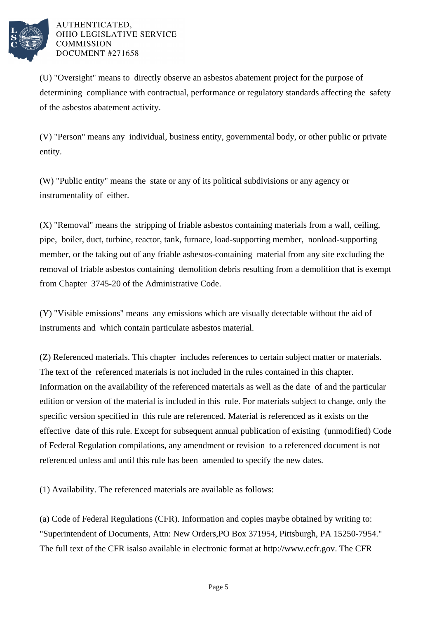

(U) "Oversight" means to directly observe an asbestos abatement project for the purpose of determining compliance with contractual, performance or regulatory standards affecting the safety of the asbestos abatement activity.

(V) "Person" means any individual, business entity, governmental body, or other public or private entity.

(W) "Public entity" means the state or any of its political subdivisions or any agency or instrumentality of either.

(X) "Removal" means the stripping of friable asbestos containing materials from a wall, ceiling, pipe, boiler, duct, turbine, reactor, tank, furnace, load-supporting member, nonload-supporting member, or the taking out of any friable asbestos-containing material from any site excluding the removal of friable asbestos containing demolition debris resulting from a demolition that is exempt from Chapter 3745-20 of the Administrative Code.

(Y) "Visible emissions" means any emissions which are visually detectable without the aid of instruments and which contain particulate asbestos material.

(Z) Referenced materials. This chapter includes references to certain subject matter or materials. The text of the referenced materials is not included in the rules contained in this chapter. Information on the availability of the referenced materials as well as the date of and the particular edition or version of the material is included in this rule. For materials subject to change, only the specific version specified in this rule are referenced. Material is referenced as it exists on the effective date of this rule. Except for subsequent annual publication of existing (unmodified) Code of Federal Regulation compilations, any amendment or revision to a referenced document is not referenced unless and until this rule has been amended to specify the new dates.

(1) Availability. The referenced materials are available as follows:

(a) Code of Federal Regulations (CFR). Information and copies may be obtained by writing to: "Superintendent of Documents, Attn: New Orders, PO Box 371954, Pittsburgh, PA 15250-7954." The full text of the CFR is also available in electronic format at http://www.ecfr.gov. The CFR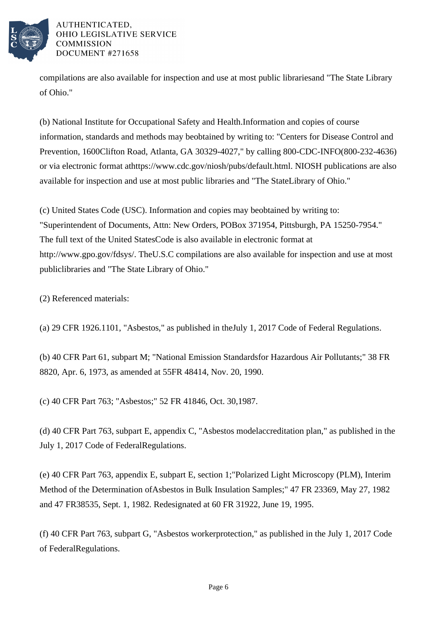

compilations are also available for inspection and use at most public libraries and "The State Library of Ohio."

(b) National Institute for Occupational Safety and Health. Information and copies of course information, standards and methods may be obtained by writing to: "Centers for Disease Control and Prevention, 1600 Clifton Road, Atlanta, GA 30329-4027," by calling 800-CDC-INFO (800-232-4636) or via electronic format at https://www.cdc.gov/niosh/pubs/default.html. NIOSH publications are also available for inspection and use at most public libraries and "The State Library of Ohio."

(c) United States Code (USC). Information and copies may be obtained by writing to: "Superintendent of Documents, Attn: New Orders, PO Box 371954, Pittsburgh, PA 15250-7954." The full text of the United States Code is also available in electronic format at http://www.gpo.gov/fdsys/. The U.S.C compilations are also available for inspection and use at most public libraries and "The State Library of Ohio."

(2) Referenced materials:

(a) 29 CFR 1926.1101, "Asbestos," as published in the July 1, 2017 Code of Federal Regulations.

(b) 40 CFR Part 61, subpart M; "National Emission Standards for Hazardous Air Pollutants;" 38 FR 8820, Apr. 6, 1973, as amended at 55 FR 48414, Nov. 20, 1990.

(c) 40 CFR Part 763; "Asbestos;" 52 FR 41846, Oct. 30, 1987.

(d) 40 CFR Part 763, subpart E, appendix C, "Asbestos model accreditation plan," as published in the July 1, 2017 Code of Federal Regulations.

(e) 40 CFR Part 763, appendix E, subpart E, section 1; "Polarized Light Microscopy (PLM), Interim Method of the Determination of Asbestos in Bulk Insulation Samples;" 47 FR 23369, May 27, 1982 and 47 FR 38535, Sept. 1, 1982. Redesignated at 60 FR 31922, June 19, 1995.

(f) 40 CFR Part 763, subpart G, "Asbestos worker protection," as published in the July 1, 2017 Code of Federal Regulations.